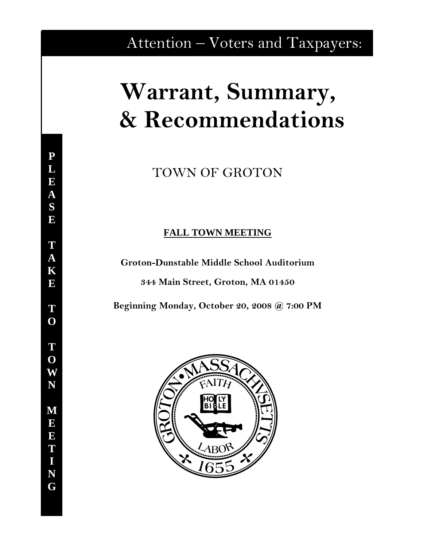## Attention – Voters and Taxpayers:

# **Warrant, Summary, & Recommendations**

TOWN OF GROTON

### **FALL TOWN MEETING**

**Groton-Dunstable Middle School Auditorium** 

**344 Main Street, Groton, MA 01450** 

**Beginning Monday, October 20, 2008 @ 7:00 PM** 

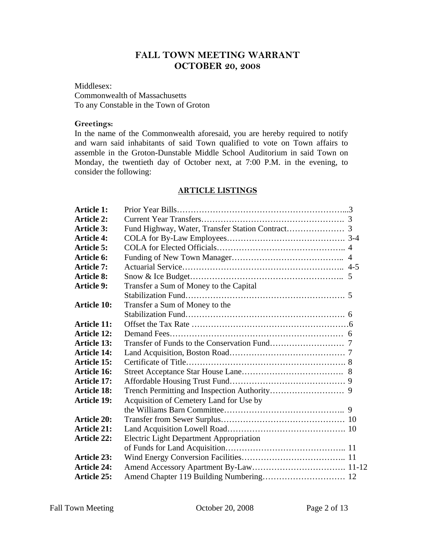#### **FALL TOWN MEETING WARRANT OCTOBER 20, 2008**

Middlesex: Commonwealth of Massachusetts To any Constable in the Town of Groton

#### **Greetings:**

In the name of the Commonwealth aforesaid, you are hereby required to notify and warn said inhabitants of said Town qualified to vote on Town affairs to assemble in the Groton-Dunstable Middle School Auditorium in said Town on Monday, the twentieth day of October next, at 7:00 P.M. in the evening, to consider the following:

#### **ARTICLE LISTINGS**

| <b>Article 1:</b>  |                                                |  |
|--------------------|------------------------------------------------|--|
| <b>Article 2:</b>  |                                                |  |
| <b>Article 3:</b>  |                                                |  |
| <b>Article 4:</b>  |                                                |  |
| <b>Article 5:</b>  |                                                |  |
| Article 6:         |                                                |  |
| <b>Article 7:</b>  |                                                |  |
| <b>Article 8:</b>  |                                                |  |
| <b>Article 9:</b>  | Transfer a Sum of Money to the Capital         |  |
|                    |                                                |  |
| <b>Article 10:</b> | Transfer a Sum of Money to the                 |  |
|                    |                                                |  |
| <b>Article 11:</b> |                                                |  |
| <b>Article 12:</b> |                                                |  |
| <b>Article 13:</b> |                                                |  |
| <b>Article 14:</b> |                                                |  |
| Article 15:        |                                                |  |
| <b>Article 16:</b> |                                                |  |
| <b>Article 17:</b> |                                                |  |
| <b>Article 18:</b> |                                                |  |
| <b>Article 19:</b> | Acquisition of Cemetery Land for Use by        |  |
|                    |                                                |  |
| <b>Article 20:</b> |                                                |  |
| <b>Article 21:</b> |                                                |  |
| <b>Article 22:</b> | <b>Electric Light Department Appropriation</b> |  |
|                    |                                                |  |
| <b>Article 23:</b> |                                                |  |
| <b>Article 24:</b> |                                                |  |
| <b>Article 25:</b> |                                                |  |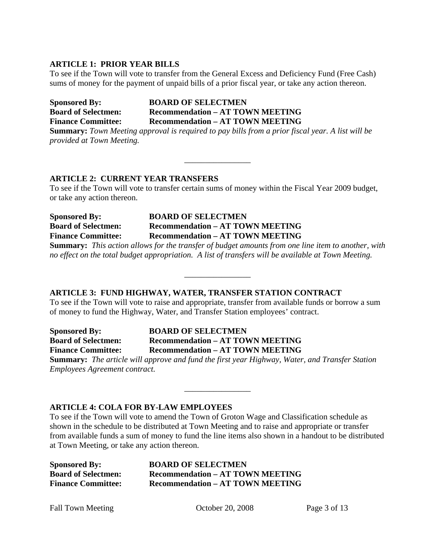#### **ARTICLE 1: PRIOR YEAR BILLS**

To see if the Town will vote to transfer from the General Excess and Deficiency Fund (Free Cash) sums of money for the payment of unpaid bills of a prior fiscal year, or take any action thereon.

**Sponsored By: BOARD OF SELECTMEN Board of Selectmen: Recommendation – AT TOWN MEETING Finance Committee: Recommendation – AT TOWN MEETING Summary:** *Town Meeting approval is required to pay bills from a prior fiscal year. A list will be* 

*provided at Town Meeting.* 

#### **ARTICLE 2: CURRENT YEAR TRANSFERS**

To see if the Town will vote to transfer certain sums of money within the Fiscal Year 2009 budget, or take any action thereon.

\_\_\_\_\_\_\_\_\_\_\_\_\_\_\_\_

**Sponsored By: BOARD OF SELECTMEN Board of Selectmen: Recommendation – AT TOWN MEETING Finance Committee: Recommendation – AT TOWN MEETING** 

**Summary:** *This action allows for the transfer of budget amounts from one line item to another, with no effect on the total budget appropriation. A list of transfers will be available at Town Meeting.* 

\_\_\_\_\_\_\_\_\_\_\_\_\_\_\_\_

#### **ARTICLE 3: FUND HIGHWAY, WATER, TRANSFER STATION CONTRACT**

To see if the Town will vote to raise and appropriate, transfer from available funds or borrow a sum of money to fund the Highway, Water, and Transfer Station employees' contract.

**Sponsored By: BOARD OF SELECTMEN Board of Selectmen: Recommendation – AT TOWN MEETING Finance Committee: Recommendation – AT TOWN MEETING** 

**Summary:** *The article will approve and fund the first year Highway, Water, and Transfer Station Employees Agreement contract.* 

#### **ARTICLE 4: COLA FOR BY-LAW EMPLOYEES**

To see if the Town will vote to amend the Town of Groton Wage and Classification schedule as shown in the schedule to be distributed at Town Meeting and to raise and appropriate or transfer from available funds a sum of money to fund the line items also shown in a handout to be distributed at Town Meeting, or take any action thereon.

\_\_\_\_\_\_\_\_\_\_\_\_\_\_\_\_

| <b>Sponsored By:</b>       | <b>BOARD OF SELECTMEN</b>               |
|----------------------------|-----------------------------------------|
| <b>Board of Selectmen:</b> | <b>Recommendation – AT TOWN MEETING</b> |
| <b>Finance Committee:</b>  | <b>Recommendation – AT TOWN MEETING</b> |

Fall Town Meeting Corober 20, 2008 Page 3 of 13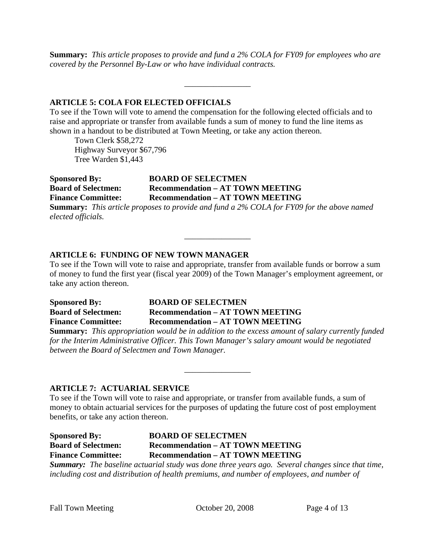**Summary:** *This article proposes to provide and fund a 2% COLA for FY09 for employees who are covered by the Personnel By-Law or who have individual contracts.* 

\_\_\_\_\_\_\_\_\_\_\_\_\_\_\_\_

#### **ARTICLE 5: COLA FOR ELECTED OFFICIALS**

To see if the Town will vote to amend the compensation for the following elected officials and to raise and appropriate or transfer from available funds a sum of money to fund the line items as shown in a handout to be distributed at Town Meeting, or take any action thereon.

Town Clerk \$58,272 Highway Surveyor \$67,796 Tree Warden \$1,443

**Sponsored By: BOARD OF SELECTMEN Board of Selectmen: Recommendation – AT TOWN MEETING Finance Committee: Recommendation – AT TOWN MEETING Summary:** *This article proposes to provide and fund a 2% COLA for FY09 for the above named elected officials.* 

#### **ARTICLE 6: FUNDING OF NEW TOWN MANAGER**

To see if the Town will vote to raise and appropriate, transfer from available funds or borrow a sum of money to fund the first year (fiscal year 2009) of the Town Manager's employment agreement, or take any action thereon.

 $\overline{\phantom{a}}$  , where  $\overline{\phantom{a}}$ 

**Sponsored By: BOARD OF SELECTMEN Board of Selectmen: Recommendation – AT TOWN MEETING Finance Committee: Recommendation – AT TOWN MEETING** 

**Summary:** *This appropriation would be in addition to the excess amount of salary currently funded for the Interim Administrative Officer. This Town Manager's salary amount would be negotiated between the Board of Selectmen and Town Manager.*

 $\overline{\phantom{a}}$  , where  $\overline{\phantom{a}}$ 

#### **ARTICLE 7: ACTUARIAL SERVICE**

To see if the Town will vote to raise and appropriate, or transfer from available funds, a sum of money to obtain actuarial services for the purposes of updating the future cost of post employment benefits, or take any action thereon.

**Sponsored By: BOARD OF SELECTMEN Board of Selectmen: Recommendation – AT TOWN MEETING Finance Committee: Recommendation – AT TOWN MEETING**  *Summary: The baseline actuarial study was done three years ago. Several changes since that time, including cost and distribution of health premiums, and number of employees, and number of*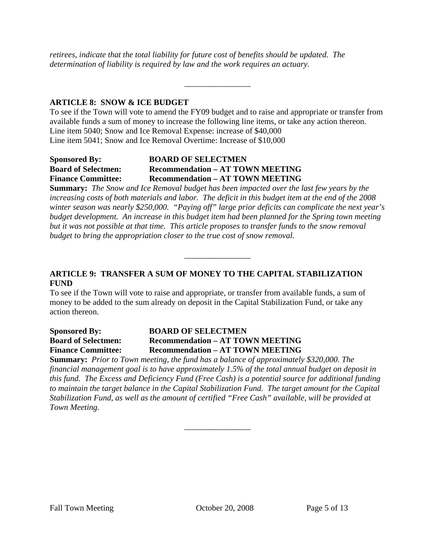*retirees, indicate that the total liability for future cost of benefits should be updated. The determination of liability is required by law and the work requires an actuary.* 

#### **ARTICLE 8: SNOW & ICE BUDGET**

To see if the Town will vote to amend the FY09 budget and to raise and appropriate or transfer from available funds a sum of money to increase the following line items, or take any action thereon. Line item 5040; Snow and Ice Removal Expense: increase of \$40,000 Line item 5041; Snow and Ice Removal Overtime: Increase of \$10,000

\_\_\_\_\_\_\_\_\_\_\_\_\_\_\_\_

#### **Sponsored By: BOARD OF SELECTMEN Board of Selectmen: Recommendation – AT TOWN MEETING Finance Committee: Recommendation – AT TOWN MEETING**

**Summary:** *The Snow and Ice Removal budget has been impacted over the last few years by the increasing costs of both materials and labor. The deficit in this budget item at the end of the 2008 winter season was nearly \$250,000. "Paying off" large prior deficits can complicate the next year's budget development. An increase in this budget item had been planned for the Spring town meeting but it was not possible at that time. This article proposes to transfer funds to the snow removal budget to bring the appropriation closer to the true cost of snow removal.*

\_\_\_\_\_\_\_\_\_\_\_\_\_\_\_\_

#### **ARTICLE 9: TRANSFER A SUM OF MONEY TO THE CAPITAL STABILIZATION FUND**

To see if the Town will vote to raise and appropriate, or transfer from available funds, a sum of money to be added to the sum already on deposit in the Capital Stabilization Fund, or take any action thereon.

#### **Sponsored By: BOARD OF SELECTMEN Board of Selectmen: Recommendation – AT TOWN MEETING Finance Committee: Recommendation – AT TOWN MEETING**

**Summary:** *Prior to Town meeting, the fund has a balance of approximately \$320,000. The financial management goal is to have approximately 1.5% of the total annual budget on deposit in this fund. The Excess and Deficiency Fund (Free Cash) is a potential source for additional funding to maintain the target balance in the Capital Stabilization Fund. The target amount for the Capital Stabilization Fund, as well as the amount of certified "Free Cash" available, will be provided at Town Meeting.*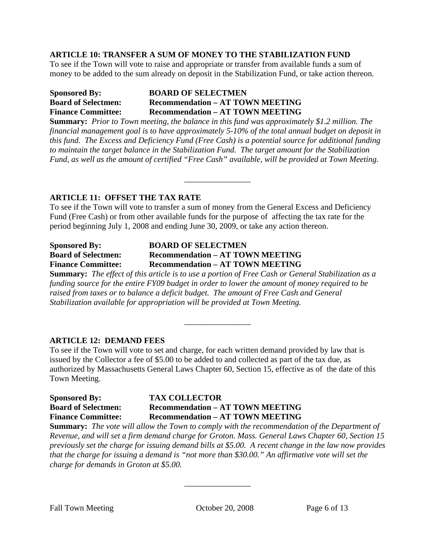#### **ARTICLE 10: TRANSFER A SUM OF MONEY TO THE STABILIZATION FUND**

To see if the Town will vote to raise and appropriate or transfer from available funds a sum of money to be added to the sum already on deposit in the Stabilization Fund, or take action thereon.

#### **Sponsored By: BOARD OF SELECTMEN Board of Selectmen: Recommendation – AT TOWN MEETING Finance Committee: Recommendation – AT TOWN MEETING**

**Summary:** *Prior to Town meeting, the balance in this fund was approximately \$1.2 million. The financial management goal is to have approximately 5-10% of the total annual budget on deposit in this fund. The Excess and Deficiency Fund (Free Cash) is a potential source for additional funding to maintain the target balance in the Stabilization Fund. The target amount for the Stabilization Fund, as well as the amount of certified "Free Cash" available, will be provided at Town Meeting.*

\_\_\_\_\_\_\_\_\_\_\_\_\_\_\_\_

#### **ARTICLE 11: OFFSET THE TAX RATE**

To see if the Town will vote to transfer a sum of money from the General Excess and Deficiency Fund (Free Cash) or from other available funds for the purpose of affecting the tax rate for the period beginning July 1, 2008 and ending June 30, 2009, or take any action thereon.

#### **Sponsored By: BOARD OF SELECTMEN Board of Selectmen: Recommendation – AT TOWN MEETING Finance Committee: Recommendation – AT TOWN MEETING**

**Summary:** *The effect of this article is to use a portion of Free Cash or General Stabilization as a funding source for the entire FY09 budget in order to lower the amount of money required to be raised from taxes or to balance a deficit budget. The amount of Free Cash and General Stabilization available for appropriation will be provided at Town Meeting.* 

 $\overline{\phantom{a}}$  , where  $\overline{\phantom{a}}$ 

#### **ARTICLE 12: DEMAND FEES**

To see if the Town will vote to set and charge, for each written demand provided by law that is issued by the Collector a fee of \$5.00 to be added to and collected as part of the tax due, as authorized by Massachusetts General Laws Chapter 60, Section 15, effective as of the date of this Town Meeting.

#### **Sponsored By: TAX COLLECTOR Board of Selectmen: Recommendation – AT TOWN MEETING Finance Committee: Recommendation – AT TOWN MEETING**

**Summary:** *The vote will allow the Town to comply with the recommendation of the Department of Revenue, and will set a firm demand charge for Groton. Mass. General Laws Chapter 60, Section 15 previously set the charge for issuing demand bills at \$5.00. A recent change in the law now provides that the charge for issuing a demand is "not more than \$30.00." An affirmative vote will set the charge for demands in Groton at \$5.00.*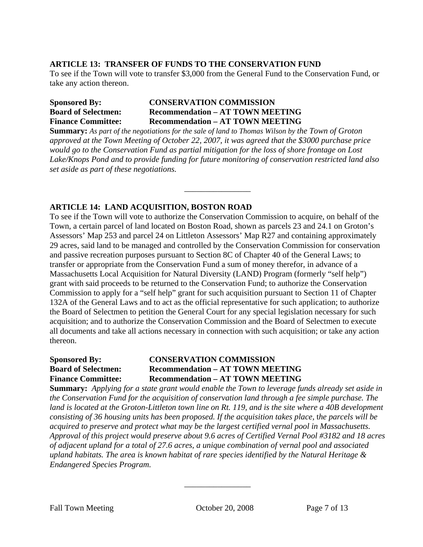#### **ARTICLE 13: TRANSFER OF FUNDS TO THE CONSERVATION FUND**

To see if the Town will vote to transfer \$3,000 from the General Fund to the Conservation Fund, or take any action thereon.

#### **Sponsored By: CONSERVATION COMMISSION Board of Selectmen: Recommendation – AT TOWN MEETING Finance Committee: Recommendation – AT TOWN MEETING**

**Summary:** *As part of the negotiations for the sale of land to Thomas Wilson by the Town of Groton approved at the Town Meeting of October 22, 2007, it was agreed that the \$3000 purchase price would go to the Conservation Fund as partial mitigation for the loss of shore frontage on Lost Lake/Knops Pond and to provide funding for future monitoring of conservation restricted land also set aside as part of these negotiations.*

 $\overline{\phantom{a}}$  , where  $\overline{\phantom{a}}$ 

#### **ARTICLE 14: LAND ACQUISITION, BOSTON ROAD**

To see if the Town will vote to authorize the Conservation Commission to acquire, on behalf of the Town, a certain parcel of land located on Boston Road, shown as parcels 23 and 24.1 on Groton's Assessors' Map 253 and parcel 24 on Littleton Assessors' Map R27 and containing approximately 29 acres, said land to be managed and controlled by the Conservation Commission for conservation and passive recreation purposes pursuant to Section 8C of Chapter 40 of the General Laws; to transfer or appropriate from the Conservation Fund a sum of money therefor, in advance of a Massachusetts Local Acquisition for Natural Diversity (LAND) Program (formerly "self help") grant with said proceeds to be returned to the Conservation Fund; to authorize the Conservation Commission to apply for a "self help" grant for such acquisition pursuant to Section 11 of Chapter 132A of the General Laws and to act as the official representative for such application; to authorize the Board of Selectmen to petition the General Court for any special legislation necessary for such acquisition; and to authorize the Conservation Commission and the Board of Selectmen to execute all documents and take all actions necessary in connection with such acquisition; or take any action thereon.

#### **Sponsored By: CONSERVATION COMMISSION Board of Selectmen: Recommendation – AT TOWN MEETING Finance Committee: Recommendation – AT TOWN MEETING**

**Summary:** *Applying for a state grant would enable the Town to leverage funds already set aside in the Conservation Fund for the acquisition of conservation land through a fee simple purchase. The land is located at the Groton-Littleton town line on Rt. 119, and is the site where a 40B development consisting of 36 housing units has been proposed. If the acquisition takes place,* t*he parcels will be acquired to preserve and protect what may be the largest certified vernal pool in Massachusetts. Approval of this project would preserve about 9.6 acres of Certified Vernal Pool #3182 and 18 acres of adjacent upland for a total of 27.6 acres, a unique combination of vernal pool and associated upland habitats. The area is known habitat of rare species identified by the Natural Heritage & Endangered Species Program.*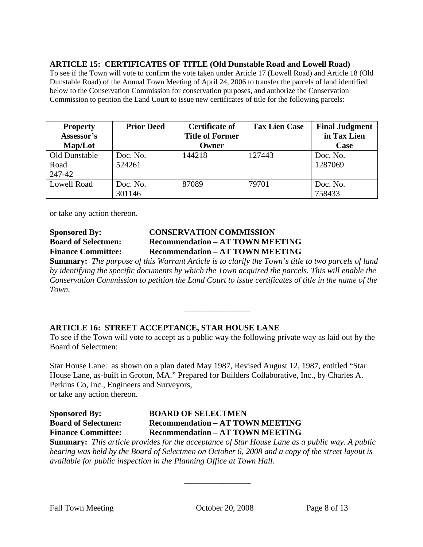#### **ARTICLE 15: CERTIFICATES OF TITLE (Old Dunstable Road and Lowell Road)**

To see if the Town will vote to confirm the vote taken under Article 17 (Lowell Road) and Article 18 (Old Dunstable Road) of the Annual Town Meeting of April 24, 2006 to transfer the parcels of land identified below to the Conservation Commission for conservation purposes, and authorize the Conservation Commission to petition the Land Court to issue new certificates of title for the following parcels:

| <b>Property</b><br>Assessor's   | <b>Prior Deed</b>  | <b>Certificate of</b><br><b>Title of Former</b> | <b>Tax Lien Case</b> | <b>Final Judgment</b><br>in Tax Lien |
|---------------------------------|--------------------|-------------------------------------------------|----------------------|--------------------------------------|
| Map/Lot                         |                    | Owner                                           |                      | Case                                 |
| Old Dunstable<br>Road<br>247-42 | Doc. No.<br>524261 | 144218                                          | 127443               | Doc. No.<br>1287069                  |
|                                 |                    |                                                 |                      |                                      |
| <b>Lowell Road</b>              | Doc. No.<br>301146 | 87089                                           | 79701                | Doc. No.<br>758433                   |

or take any action thereon.

#### **Sponsored By: CONSERVATION COMMISSION Board of Selectmen: Recommendation – AT TOWN MEETING Finance Committee: Recommendation – AT TOWN MEETING**

**Summary:** *The purpose of this Warrant Article is to clarify the Town's title to two parcels of land by identifying the specific documents by which the Town acquired the parcels. This will enable the Conservation Commission to petition the Land Court to issue certificates of title in the name of the Town.*

\_\_\_\_\_\_\_\_\_\_\_\_\_\_\_\_

#### **ARTICLE 16: STREET ACCEPTANCE, STAR HOUSE LANE**

To see if the Town will vote to accept as a public way the following private way as laid out by the Board of Selectmen:

Star House Lane: as shown on a plan dated May 1987, Revised August 12, 1987, entitled "Star House Lane, as-built in Groton, MA." Prepared for Builders Collaborative, Inc., by Charles A. Perkins Co, Inc., Engineers and Surveyors, or take any action thereon.

#### **Sponsored By: BOARD OF SELECTMEN Board of Selectmen: Recommendation – AT TOWN MEETING Finance Committee: Recommendation – AT TOWN MEETING**

**Summary:** *This article provides for the acceptance of Star House Lane as a public way. A public hearing was held by the Board of Selectmen on October 6, 2008 and a copy of the street layout is available for public inspection in the Planning Office at Town Hall.*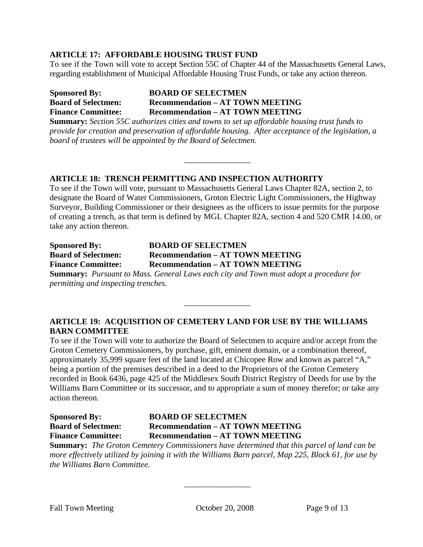#### **ARTICLE 17: AFFORDABLE HOUSING TRUST FUND**

To see if the Town will vote to accept Section 55C of Chapter 44 of the Massachusetts General Laws, regarding establishment of Municipal Affordable Housing Trust Funds, or take any action thereon.

#### **Sponsored By: BOARD OF SELECTMEN Board of Selectmen: Recommendation – AT TOWN MEETING Finance Committee: Recommendation – AT TOWN MEETING**

**Summary:** *Section 55C authorizes cities and towns to set up affordable housing trust funds to provide for creation and preservation of affordable housing. After acceptance of the legislation, a board of trustees will be appointed by the Board of Selectmen.*

\_\_\_\_\_\_\_\_\_\_\_\_\_\_\_\_

#### **ARTICLE 18: TRENCH PERMITTING AND INSPECTION AUTHORITY**

To see if the Town will vote, pursuant to Massachusetts General Laws Chapter 82A, section 2, to designate the Board of Water Commissioners, Groton Electric Light Commissioners, the Highway Surveyor, Building Commissioner or their designees as the officers to issue permits for the purpose of creating a trench, as that term is defined by MGL Chapter 82A, section 4 and 520 CMR 14.00, or take any action thereon.

| <b>Sponsored By:</b>       | <b>BOARD OF SELECTMEN</b>                                                            |  |  |  |
|----------------------------|--------------------------------------------------------------------------------------|--|--|--|
| <b>Board of Selectmen:</b> | <b>Recommendation – AT TOWN MEETING</b>                                              |  |  |  |
| <b>Finance Committee:</b>  | <b>Recommendation – AT TOWN MEETING</b>                                              |  |  |  |
|                            | <b>Summary:</b> Pursuant to Mass <i>Conoral Laws each city and Town must adopt a</i> |  |  |  |

**Summary:** *Pursuant to Mass. General Laws each city and Town must adopt a procedure for permitting and inspecting trenches.* 

#### **ARTICLE 19: ACQUISITION OF CEMETERY LAND FOR USE BY THE WILLIAMS BARN COMMITTEE**

\_\_\_\_\_\_\_\_\_\_\_\_\_\_\_\_

To see if the Town will vote to authorize the Board of Selectmen to acquire and/or accept from the Groton Cemetery Commissioners, by purchase, gift, eminent domain, or a combination thereof, approximately 35,999 square feet of the land located at Chicopee Row and known as parcel "A," being a portion of the premises described in a deed to the Proprietors of the Groton Cemetery recorded in Book 6436, page 425 of the Middlesex South District Registry of Deeds for use by the Williams Barn Committee or its successor, and to appropriate a sum of money therefor; or take any action thereon.

#### **Sponsored By: BOARD OF SELECTMEN Board of Selectmen: Recommendation – AT TOWN MEETING Finance Committee: Recommendation – AT TOWN MEETING**

**Summary:** *The Groton Cemetery Commissioners have determined that this parcel of land can be more effectively utilized by joining it with the Williams Barn parcel, Map 225, Block 61, for use by the Williams Barn Committee.*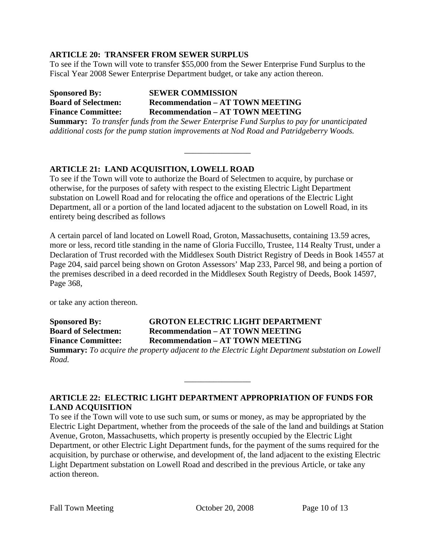#### **ARTICLE 20: TRANSFER FROM SEWER SURPLUS**

To see if the Town will vote to transfer \$55,000 from the Sewer Enterprise Fund Surplus to the Fiscal Year 2008 Sewer Enterprise Department budget, or take any action thereon.

**Sponsored By: SEWER COMMISSION Board of Selectmen: Recommendation – AT TOWN MEETING Finance Committee: Recommendation – AT TOWN MEETING** 

**Summary:** *To transfer funds from the Sewer Enterprise Fund Surplus to pay for unanticipated additional costs for the pump station improvements at Nod Road and Patridgeberry Woods.* 

\_\_\_\_\_\_\_\_\_\_\_\_\_\_\_\_

#### **ARTICLE 21: LAND ACQUISITION, LOWELL ROAD**

To see if the Town will vote to authorize the Board of Selectmen to acquire, by purchase or otherwise, for the purposes of safety with respect to the existing Electric Light Department substation on Lowell Road and for relocating the office and operations of the Electric Light Department, all or a portion of the land located adjacent to the substation on Lowell Road, in its entirety being described as follows

A certain parcel of land located on Lowell Road, Groton, Massachusetts, containing 13.59 acres, more or less, record title standing in the name of Gloria Fuccillo, Trustee, 114 Realty Trust, under a Declaration of Trust recorded with the Middlesex South District Registry of Deeds in Book 14557 at Page 204, said parcel being shown on Groton Assessors' Map 233, Parcel 98, and being a portion of the premises described in a deed recorded in the Middlesex South Registry of Deeds, Book 14597, Page 368,

or take any action thereon.

**Sponsored By: GROTON ELECTRIC LIGHT DEPARTMENT Board of Selectmen: Recommendation – AT TOWN MEETING Finance Committee: Recommendation – AT TOWN MEETING** 

**Summary:** *To acquire the property adjacent to the Electric Light Department substation on Lowell Road.*

\_\_\_\_\_\_\_\_\_\_\_\_\_\_\_\_

#### **ARTICLE 22: ELECTRIC LIGHT DEPARTMENT APPROPRIATION OF FUNDS FOR LAND ACQUISITION**

To see if the Town will vote to use such sum, or sums or money, as may be appropriated by the Electric Light Department, whether from the proceeds of the sale of the land and buildings at Station Avenue, Groton, Massachusetts, which property is presently occupied by the Electric Light Department, or other Electric Light Department funds, for the payment of the sums required for the acquisition, by purchase or otherwise, and development of, the land adjacent to the existing Electric Light Department substation on Lowell Road and described in the previous Article, or take any action thereon.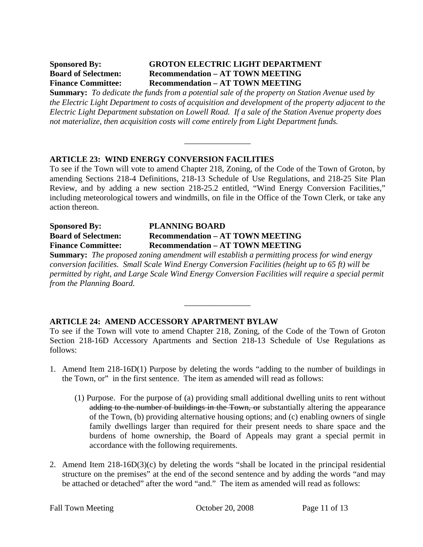#### **Sponsored By: GROTON ELECTRIC LIGHT DEPARTMENT Board of Selectmen: Recommendation – AT TOWN MEETING Finance Committee: Recommendation – AT TOWN MEETING**

**Summary:** *To dedicate the funds from a potential sale of the property on Station Avenue used by the Electric Light Department to costs of acquisition and development of the property adjacent to the Electric Light Department substation on Lowell Road. If a sale of the Station Avenue property does not materialize, then acquisition costs will come entirely from Light Department funds.* 

 $\overline{\phantom{a}}$  , where  $\overline{\phantom{a}}$ 

#### **ARTICLE 23: WIND ENERGY CONVERSION FACILITIES**

To see if the Town will vote to amend Chapter 218, Zoning, of the Code of the Town of Groton, by amending Sections 218-4 Definitions, 218-13 Schedule of Use Regulations, and 218-25 Site Plan Review, and by adding a new section 218-25.2 entitled, "Wind Energy Conversion Facilities," including meteorological towers and windmills, on file in the Office of the Town Clerk, or take any action thereon.

#### **Sponsored By: PLANNING BOARD Board of Selectmen: Recommendation – AT TOWN MEETING Finance Committee: Recommendation – AT TOWN MEETING**

**Summary:** *The proposed zoning amendment will establish a permitting process for wind energy conversion facilities. Small Scale Wind Energy Conversion Facilities (height up to 65 ft) will be permitted by right, and Large Scale Wind Energy Conversion Facilities will require a special permit from the Planning Board.*

\_\_\_\_\_\_\_\_\_\_\_\_\_\_\_\_

#### **ARTICLE 24: AMEND ACCESSORY APARTMENT BYLAW**

To see if the Town will vote to amend Chapter 218, Zoning, of the Code of the Town of Groton Section 218-16D Accessory Apartments and Section 218-13 Schedule of Use Regulations as follows:

- 1. Amend Item 218-16D(1) Purpose by deleting the words "adding to the number of buildings in the Town, or" in the first sentence. The item as amended will read as follows:
	- (1) Purpose. For the purpose of (a) providing small additional dwelling units to rent without adding to the number of buildings in the Town, or substantially altering the appearance of the Town, (b) providing alternative housing options; and (c) enabling owners of single family dwellings larger than required for their present needs to share space and the burdens of home ownership, the Board of Appeals may grant a special permit in accordance with the following requirements.
- 2. Amend Item 218-16D(3)(c) by deleting the words "shall be located in the principal residential structure on the premises" at the end of the second sentence and by adding the words "and may be attached or detached" after the word "and." The item as amended will read as follows: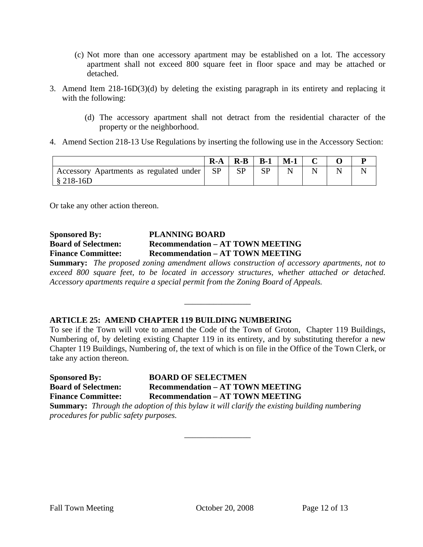- (c) Not more than one accessory apartment may be established on a lot. The accessory apartment shall not exceed 800 square feet in floor space and may be attached or detached.
- 3. Amend Item 218-16D(3)(d) by deleting the existing paragraph in its entirety and replacing it with the following:
	- (d) The accessory apartment shall not detract from the residential character of the property or the neighborhood.
- 4. Amend Section 218-13 Use Regulations by inserting the following use in the Accessory Section:

|                                                           | $R-A$ | $R-B$ | $B-1$ | $M-1$ |  |  |
|-----------------------------------------------------------|-------|-------|-------|-------|--|--|
| ' Accessory Apartments as regulated under  <br>$$218-16D$ | - SP  | SP    |       |       |  |  |

Or take any other action thereon.

#### **Sponsored By: PLANNING BOARD Board of Selectmen: Recommendation – AT TOWN MEETING Finance Committee: Recommendation – AT TOWN MEETING**

**Summary:** *The proposed zoning amendment allows construction of accessory apartments, not to exceed 800 square feet, to be located in accessory structures, whether attached or detached. Accessory apartments require a special permit from the Zoning Board of Appeals.*

\_\_\_\_\_\_\_\_\_\_\_\_\_\_\_\_

#### **ARTICLE 25: AMEND CHAPTER 119 BUILDING NUMBERING**

To see if the Town will vote to amend the Code of the Town of Groton, Chapter 119 Buildings, Numbering of, by deleting existing Chapter 119 in its entirety, and by substituting therefor a new Chapter 119 Buildings, Numbering of, the text of which is on file in the Office of the Town Clerk, or take any action thereon.

**Sponsored By: BOARD OF SELECTMEN Board of Selectmen: Recommendation – AT TOWN MEETING Finance Committee: Recommendation – AT TOWN MEETING** 

**Summary:** *Through the adoption of this bylaw it will clarify the existing building numbering procedures for public safety purposes.* 

 $\overline{\phantom{a}}$  , where  $\overline{\phantom{a}}$